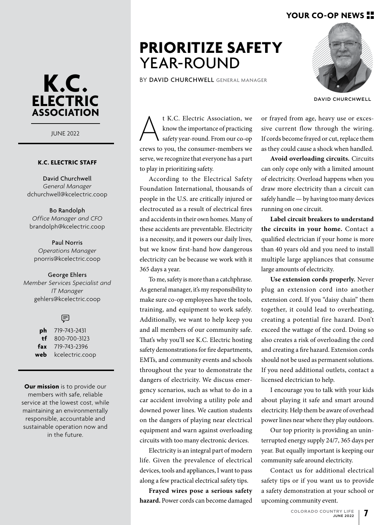## **YOUR CO-OP NEWS**



JUNE 2022

### **K.C. ELECTRIC STAFF**

David Churchwell *General Manager* dchurchwell@kcelectric.coop

Bo Randolph *Office Manager and CFO* brandolph@kcelectric.coop

Paul Norris *Operations Manager* pnorris@kcelectric.coop

### George Ehlers

*Member Services Specialist and IT Manager* gehlers@kcelectric.coop

### (見

**ph** 719-743-2431 **tf** 800-700-3123 **fax** 719-743-2396 **web** kcelectric.coop

**Our mission** is to provide our members with safe, reliable service at the lowest cost, while maintaining an environmentally responsible, accountable and sustainable operation now and in the future.

## **PRIORITIZE SAFETY** YEAR-ROUND

BY DAVID CHURCHWELL GENERAL MANAGER



DAVID CHURCHWELL

t K.C. Electric Association, we<br>
know the importance of practicing<br>
safety year-round. From our co-op<br>
crews to you, the consumer-members we know the importance of practicing safety year-round. From our co-op serve, we recognize that everyone has a part to play in prioritizing safety.

According to the Electrical Safety Foundation International, thousands of people in the U.S. are critically injured or electrocuted as a result of electrical fires and accidents in their own homes. Many of these accidents are preventable. Electricity is a necessity, and it powers our daily lives, but we know first-hand how dangerous electricity can be because we work with it 365 days a year.

To me, safety is more than a catchphrase. As general manager, it's my responsibility to make sure co-op employees have the tools, training, and equipment to work safely. Additionally, we want to help keep you and all members of our community safe. That's why you'll see K.C. Electric hosting safety demonstrations for fire departments, EMTs, and community events and schools throughout the year to demonstrate the dangers of electricity. We discuss emergency scenarios, such as what to do in a car accident involving a utility pole and downed power lines. We caution students on the dangers of playing near electrical equipment and warn against overloading circuits with too many electronic devices.

Electricity is an integral part of modern life. Given the prevalence of electrical devices, tools and appliances, I want to pass along a few practical electrical safety tips.

**Frayed wires pose a serious safety hazard.** Power cords can become damaged

or frayed from age, heavy use or excessive current flow through the wiring. If cords become frayed or cut, replace them as they could cause a shock when handled.

**Avoid overloading circuits.** Circuits can only cope only with a limited amount of electricity. Overload happens when you draw more electricity than a circuit can safely handle — by having too many devices running on one circuit.

**Label circuit breakers to understand the circuits in your home.** Contact a qualified electrician if your home is more than 40 years old and you need to install multiple large appliances that consume large amounts of electricity.

**Use extension cords properly.** Never plug an extension cord into another extension cord. If you "daisy chain" them together, it could lead to overheating, creating a potential fire hazard. Don't exceed the wattage of the cord. Doing so also creates a risk of overloading the cord and creating a fire hazard. Extension cords should not be used as permanent solutions. If you need additional outlets, contact a licensed electrician to help.

I encourage you to talk with your kids about playing it safe and smart around electricity. Help them be aware of overhead power lines near where they play outdoors.

Our top priority is providing an uninterrupted energy supply 24/7, 365 days per year. But equally important is keeping our community safe around electricity.

Contact us for additional electrical safety tips or if you want us to provide a safety demonstration at your school or upcoming community event.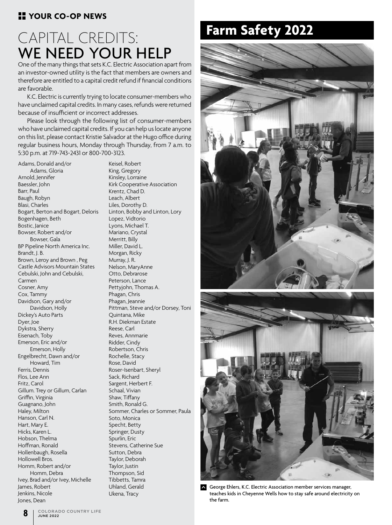## **H** YOUR CO-OP NEWS

# **Farm Safety 2022** CAPITAL CREDITS: WE NEED YOUR HELP

One of the many things that sets K.C. Electric Association apart from an investor-owned utility is the fact that members are owners and therefore are entitled to a capital credit refund if financial conditions are favorable.

K.C. Electric is currently trying to locate consumer-members who have unclaimed capital credits. In many cases, refunds were returned because of insufficient or incorrect addresses.

Please look through the following list of consumer-members who have unclaimed capital credits. If you can help us locate anyone on this list, please contact Kristie Salvador at the Hugo office during regular business hours, Monday through Thursday, from 7 a.m. to 5:30 p.m. at 719-743-2431 or 800-700-3123.

Adams, Donald and/or Adams, Gloria Arnold, Jennifer Baessler, John Barr, Paul Baugh, Robyn Blasi, Charles Bogart, Berton and Bogart, Deloris Bogenhagen, Beth Bostic, Janice Bowser, Robert and/or Bowser, Gala BP Pipeline North America Inc. Brandt, J. B. Brown, Leroy and Brown , Peg Castle Advisors Mountain States Cebulski, John and Cebulski, Carmen Cosner, Amy Cox, Tammy Davidson, Gary and/or Davidson, Holly Dickey's Auto Parts Dyer, Joe Dykstra, Sherry Eisenach, Toby Emerson, Eric and/or Emerson, Holly Engelbrecht, Dawn and/or Howard, Tim Ferris, Dennis Flos, Lee Ann Fritz, Carol Gillum. Trey or Gillum, Carlan Griffin, Virginia Guagnano, John Haley, Milton Hanson, Carl N. Hart, Mary E. Hicks, Karen L. Hobson, Thelma Hoffman, Ronald Hollenbaugh, Rosella Hollowell Bros. Homm, Robert and/or Homm, Debra Ivey, Brad and/or Ivey, Michelle James, Robert Jenkins, Nicole Jones, Dean

Keisel, Robert King, Gregory Kinsley, Lorraine Kirk Cooperative Association Krentz, Chad D. Leach, Albert Liles, Dorothy D. Linton, Bobby and Linton, Lory Lopez, Vidtorio Lyons, Michael T. Mariano, Crystal Merritt, Billy Miller, David L. Morgan, Ricky Murray, J. R. Nelson, MaryAnne Otto, Debrarose Peterson, Lance Pettyjohn, Thomas A. Phagan, Chris Phagan, Jeannie Pittman, Steve and/or Dorsey, Toni Quintana, Mike R.H. Diekman Estate Reese, Carl Reves, Annmarie Ridder, Cindy Robertson, Chris Rochelle, Stacy Rose, David Roser-Isenbart, Sheryl Sack, Richard Sargent, Herbert F. Schaal, Vivian Shaw, Tiffany Smith, Ronald G. Sommer, Charles or Sommer, Paula Soto, Monica Specht, Betty Springer, Dusty Spurlin, Eric Stevens, Catherine Sue Sutton, Debra Taylor, Deborah Taylor, Justin Thompson, Sid Tibbetts, Tamra Uhland, Gerald Ukena, Tracy





George Ehlers, K.C. Electric Association member services manager, teaches kids in Cheyenne Wells how to stay safe around electricity on the farm.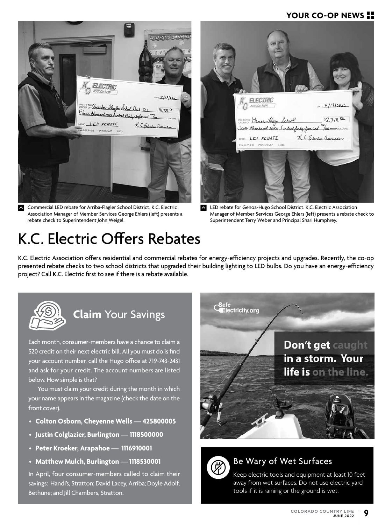## **YOUR CO-OP NEWS**



**Commercial LED rebate for Arriba-Flagler School District. K.C. Electric** Association Manager of Member Services George Ehlers (left) presents a rebate check to Superintendent John Weigel.

# K.C. Electric Offers Rebates



 $\sim$ LED rebate for Genoa-Hugo School District. K.C. Electric Association Manager of Member Services George Ehlers (left) presents a rebate check to Superintendent Terry Weber and Principal Shari Humphrey.

K.C. Electric Association offers residential and commercial rebates for energy-efficiency projects and upgrades. Recently, the co-op presented rebate checks to two school districts that upgraded their building lighting to LED bulbs. Do you have an energy-efficiency project? Call K.C. Electric first to see if there is a rebate available.



## **Claim** Your Savings

Each month, consumer-members have a chance to claim a \$20 credit on their next electric bill. All you must do is find your account number, call the Hugo office at 719-743-2431 and ask for your credit. The account numbers are listed below. How simple is that?

You must claim your credit during the month in which your name appears in the magazine (check the date on the front cover).

- **Colton Osborn, Cheyenne Wells 425800005**
- **Justin Colglazier, Burlington 1118500000**
- **Peter Kroeker, Arapahoe 1116910001**
- **Matthew Mulch, Burlington 1118530001**

In April, four consumer-members called to claim their savings: Handi's, Stratton; David Lacey, Arriba; Doyle Adolf, Bethune; and Jill Chambers, Stratton.





## Be Wary of Wet Surfaces

Keep electric tools and equipment at least 10 feet away from wet surfaces. Do not use electric yard tools if it is raining or the ground is wet.